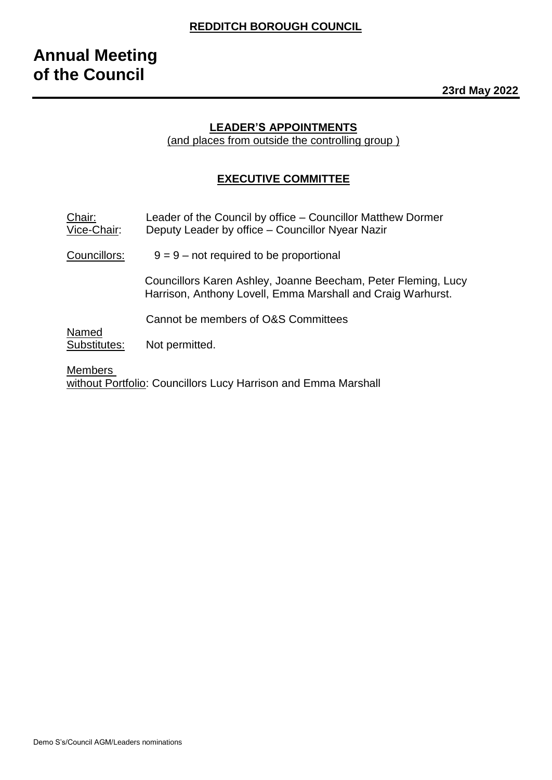## **LEADER'S APPOINTMENTS**

(and places from outside the controlling group )

## **EXECUTIVE COMMITTEE**

| Chair:<br>Vice-Chair: | Leader of the Council by office – Councillor Matthew Dormer<br>Deputy Leader by office - Councillor Nyear Nazir              |
|-----------------------|------------------------------------------------------------------------------------------------------------------------------|
| Councillors:          | $9 = 9$ – not required to be proportional                                                                                    |
|                       | Councillors Karen Ashley, Joanne Beecham, Peter Fleming, Lucy<br>Harrison, Anthony Lovell, Emma Marshall and Craig Warhurst. |
|                       | Cannot be members of O&S Committees                                                                                          |
| Named<br>Substitutes: | Not permitted.                                                                                                               |

Members without Portfolio: Councillors Lucy Harrison and Emma Marshall